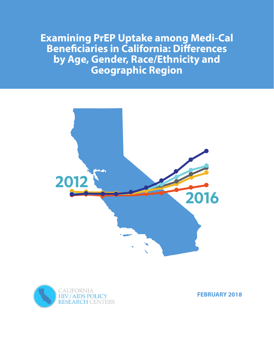**Examining PrEP Uptake among Medi-Cal Beneficiaries in California: Differences by Age, Gender, Race/Ethnicity and Geographic Region**





**FEBRUARY 2018**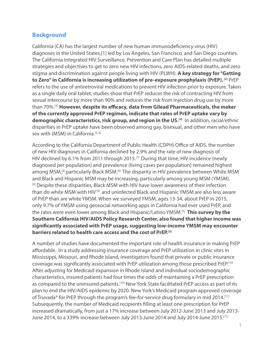# **Background**

California (CA) has the largest number of new human immunodeficiency virus (HIV) diagnoses in the United States,[1] led by Los Angeles, San Francisco, and San Diego counties. The California Integrated HIV Surveillance, Prevention and Care Plan has detailed multiple strategies and objectives to get to zero new HIV infections, zero AIDS-related deaths, and zero stigma and discrimination against people living with HIV (PLWH). **A key strategy for "Getting to Zero" in California is increasing utilization of pre-exposure prophylaxis (PrEP). <sup>[2]</sup> PrEP** refers to the use of antiretroviral medications to prevent HIV infection prior to exposure. Taken as a single daily oral tablet, studies show that PrEP reduces the risk of contracting HIV from sexual intercourse by more than 90% and reduces the risk from injection drug use by more than 70%.[3] **However, despite its efficacy, data from Gilead Pharmaceuticals, the maker of the currently approved PrEP regimen, indicate that rates of PrEP uptake vary by**  demographic characteristics, risk group, and region in the US.<sup>[4]</sup> In addition, racial/ethnic disparities in PrEP uptake have been observed among gay, bisexual, and other men who have sex with (MSM) in California.<sup>[5, 6]</sup>

According to the California Department of Public Health (CDPH) Office of AIDS, the number of new HIV diagnoses in California declined by 2.9% and the rate of new diagnosis of HIV declined by 6.1% from 2011 through 2015.[7] During that time, HIV incidence (newly diagnosed per population) and prevalence (living cases per population) remained highest among MSM,<sup>[8]</sup> particularly Black MSM.<sup>[9]</sup> The disparity in HIV prevalence between White MSM and Black and Hispanic MSM may be increasing, particularly among young MSM (YMSM). <sup>[9]</sup> Despite these disparities, Black MSM with HIV have lower awareness of their infection than do white MSM with HIV<sup>[9]</sup> and uninfected Black and Hispanic YMSM are also less aware of PrEP than are white YMSM. When we surveyed YMSM, ages 13-34, about PrEP in 2015, only 9.7% of YMSM using geosocial networking apps in California had ever used PrEP, and the rates were even lower among Black and Hispanic/Latino YMSM.[5] **This survey by the Southern California HIV/AIDS Policy Research Center, also found that higher income was significantly associated with PrEP usage, suggesting low-income YMSM may encounter barriers related to health care access and the cost of PrEP.[5]**

A number of studies have documented the important role of health insurance in making PrEP affordable. In a study addressing insurance coverage and PrEP utilization in clinic sites in Mississippi, Missouri, and Rhode Island, investigators found that private or public insurance coverage was significantly associated with PrEP utilization among those prescribed PrEP.[10] After adjusting for Medicaid expansion in Rhode Island and individual sociodemographic characteristics, insured patients had four times the odds of maintaining a PrEP prescription as compared to the uninsured patients.<sup>[10]</sup> New York State facilitated PrEP access as part of its plan to end the HIV/AIDS epidemic by 2020. New York's Medicaid program approved coverage of Truvada® for PrEP through the program's fee-for-service drug formulary in mid 2014.<sup>[11]</sup> Subsequently, the number of Medicaid recipients filling at least one prescription for PrEP increased dramatically, from just a 17% increase between July 2012-June 2013 and July 2013- June 2014, to a 339% increase between July 2013-June 2014 and July 2014-June 2015.[11]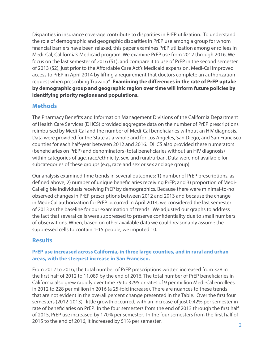Disparities in insurance coverage contribute to disparities in PrEP utilization. To understand the role of demographic and geographic disparities in PrEP use among a group for whom financial barriers have been relaxed, this paper examines PrEP utilization among enrollees in Medi-Cal, California's Medicaid program. We examine PrEP use from 2012 through 2016. We focus on the last semester of 2016 (S1), and compare it to use of PrEP in the second semester of 2013 (S2), just prior to the Affordable Care Act's Medicaid expansion. Medi-Cal improved access to PrEP in April 2014 by lifting a requirement that doctors complete an authorization request when prescribing Truvada®. **Examining the differences in the rate of PrEP uptake by demographic group and geographic region over time will inform future policies by identifying priority regions and populations.**

# **Methods**

The Pharmacy Benefits and Information Management Divisions of the California Department of Health Care Services (DHCS) provided aggregate data on the number of PrEP prescriptions reimbursed by Medi-Cal and the number of Medi-Cal beneficiaries without an HIV diagnosis. Data were provided for the State as a whole and for Los Angeles, San Diego, and San Francisco counties for each half-year between 2012 and 2016. DHCS also provided these numerators (beneficiaries on PrEP) and denominators (total beneficiaries without an HIV diagnosis) within categories of age, race/ethnicity, sex, and rural/urban. Data were not available for subcategories of these groups (e.g., race and sex or sex and age group).

Our analysis examined time trends in several outcomes: 1) number of PrEP prescriptions, as defined above; 2) number of unique beneficiaries receiving PrEP; and 3) proportion of Medi-Cal eligible individuals receiving PrEP by demographics. Because there were minimal-to-no observed changes in PrEP prescriptions between 2012 and 2013 and because the change in Medi-Cal authorization for PrEP occurred in April 2014, we considered the last semester of 2013 as the baseline for our examination of trends. We adjusted our graphs to address the fact that several cells were suppressed to preserve confidentiality due to small numbers of observations. When, based on other available data we could reasonably assume the suppressed cells to contain 1-15 people, we imputed 10.

# **Results**

## **PrEP use increased across California, in three large counties, and in rural and urban areas, with the steepest increase in San Francisco.**

From 2012 to 2016, the total number of PrEP prescriptions written increased from 328 in the first half of 2012 to 11,089 by the end of 2016. The total number of PrEP beneficiaries in California also grew rapidly over time 79 to 3295 or rates of 9 per million Medi-Cal enrollees in 2012 to 228 per million in 2016 (a 25-fold increase). There are nuances to these trends that are not evident in the overall percent change presented in the Table. Over the first four semesters (2012-2013), little growth occurred, with an increase of just 0.42% per semester in rate of beneficiaries on PrEP. In the four semesters from the end of 2013 through the first half of 2015, PrEP use increased by 170% per semester. In the four semesters from the first half of 2015 to the end of 2016, it increased by 51% per semester.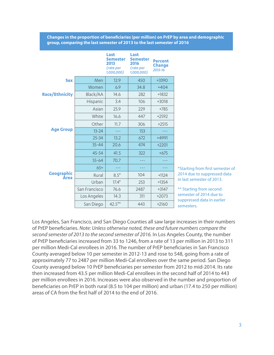**Changes in the proportion of beneficiaries (per million) on PrEP by area and demographic group, comparing the last semester of 2013 to the last semester of 2016**

|                       |               | Last<br><b>Semester</b><br>2013<br>(rate per<br>1,000,000) | Last<br><b>Semester</b><br>2016<br>(rate per<br>1,000,000) | <b>Percent</b><br><b>Change</b><br>2013-16 |
|-----------------------|---------------|------------------------------------------------------------|------------------------------------------------------------|--------------------------------------------|
| <b>Sex</b>            | Men           | 12.9                                                       | 450                                                        | +3390                                      |
|                       | Women         | 6.9                                                        | 34.8                                                       | $+404$                                     |
| <b>Race/Ethnicity</b> | Black/AA      | 14.6                                                       | 282                                                        | $+1832$                                    |
|                       | Hispanic      | 3.4                                                        | 106                                                        | $+3018$                                    |
|                       | Asian         | 25.9                                                       | 229                                                        | $+785$                                     |
|                       | White         | 16.6                                                       | 447                                                        | $+2592$                                    |
|                       | Other         | 11.7                                                       | 306                                                        | $+2515$                                    |
| <b>Age Group</b>      | $13 - 24$     |                                                            | 153                                                        |                                            |
|                       | $25 - 34$     | 13.2                                                       | 672                                                        | $+4991$                                    |
|                       | $35 - 44$     | 20.6                                                       | 474                                                        | $+2201$                                    |
|                       | $45 - 54$     | 41.5                                                       | 322                                                        | $+675$                                     |
|                       | $55 - 64$     | 70.7                                                       |                                                            |                                            |
|                       | $65+$         |                                                            |                                                            |                                            |
| Geographic<br>Àrea    | Rural         | $8.5*$                                                     | 104                                                        | $+1124$                                    |
|                       | Urban         | $17.4*$                                                    | 253                                                        | $+1354$                                    |
|                       | San Francisco | 76.6                                                       | 2487                                                       | $+3147$                                    |
|                       | Los Angeles   | 14.3                                                       | 311                                                        | $+2073$                                    |
|                       | San Diego     | $42.5***$                                                  | 443                                                        | $+2160$                                    |

\*Starting from first semester of 2014 due to suppressed data in last semester of 2013.

\*\* Starting from second semester of 2014 due to suppressed data in earlier semesters.

Los Angeles, San Francisco, and San Diego Counties all saw large increases in their numbers of PrEP beneficiaries. *Note: Unless otherwise noted, these and future numbers compare the second semester of 2013 to the second semester of 2016.* In Los Angeles County, the number of PrEP beneficiaries increased from 33 to 1246, from a rate of 13 per million in 2013 to 311 per million Medi-Cal enrollees in 2016. The number of PrEP beneficiaries in San Francisco County averaged below 10 per semester in 2012-13 and rose to 548, going from a rate of approximately 77 to 2487 per million Medi-Cal enrollees over the same period. San Diego County averaged below 10 PrEP beneficiaries per semester from 2012 to mid-2014. Its rate then increased from 43.5 per million Medi-Cal enrollees in the second half of 2014 to 443 per million enrollees in 2016. Increases were also observed in the number and proportion of beneficiaries on PrEP in both rural (8.5 to 104 per million) and urban (17.4 to 250 per million) areas of CA from the first half of 2014 to the end of 2016.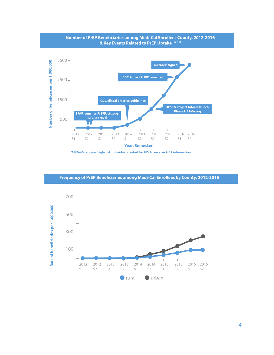

**Number of PrEP Beneficiaries among Medi-Cal Enrollees County, 2012-2016**

**\*AB 2640 requires high-risk individuals tested for HIV to receive PrEP information**

**Frequency of PrEP Beneficiaries among Medi-Cal Enrollees by County, 2012-2016**

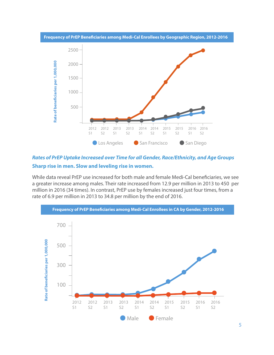

*Rates of PrEP Uptake Increased over Time for all Gender, Race/Ethnicity, and Age Groups* **Sharp rise in men. Slow and leveling rise in women.**

While data reveal PrEP use increased for both male and female Medi-Cal beneficiaries, we see a greater increase among males. Their rate increased from 12.9 per million in 2013 to 450 per million in 2016 (34 times). In contrast, PrEP use by females increased just four times, from a rate of 6.9 per million in 2013 to 34.8 per million by the end of 2016.

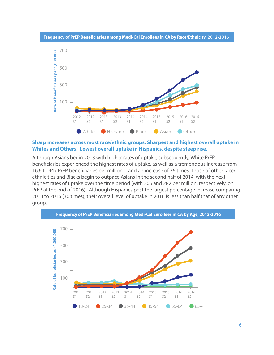



### **Sharp increases across most race/ethnic groups. Sharpest and highest overall uptake in Whites and Others. Lowest overall uptake in Hispanics, despite steep rise.**

Although Asians begin 2013 with higher rates of uptake, subsequently, White PrEP beneficiaries experienced the highest rates of uptake, as well as a tremendous increase from 16.6 to 447 PrEP beneficiaries per million -- and an increase of 26 times. Those of other race/ ethnicities and Blacks begin to outpace Asians in the second half of 2014, with the next highest rates of uptake over the time period (with 306 and 282 per million, respectively, on PrEP at the end of 2016). Although Hispanics post the largest percentage increase comparing 2013 to 2016 (30 times), their overall level of uptake in 2016 is less than half that of any other group.

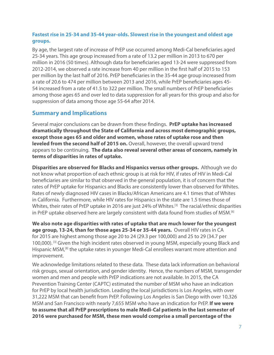## **Fastest rise in 25-34 and 35-44 year-olds. Slowest rise in the youngest and oldest age groups.**

By age, the largest rate of increase of PrEP use occurred among Medi-Cal beneficiaries aged 25-34 years. This age group increased from a rate of 13.2 per million in 2013 to 670 per million in 2016 (50 times). Although data for beneficiaries aged 13-24 were suppressed from 2012-2014, we observed a rate increase from 40 per million in the first half of 2015 to 153 per million by the last half of 2016. PrEP beneficiaries in the 35-44 age group increased from a rate of 20.6 to 474 per million between 2013 and 2016, while PrEP beneficiaries ages 45- 54 increased from a rate of 41.5 to 322 per million. The small numbers of PrEP beneficiaries among those ages 65 and over led to data suppression for all years for this group and also for suppression of data among those age 55-64 after 2014.

## **Summary and Implications**

Several major conclusions can be drawn from these findings. **PrEP uptake has increased dramatically throughout the State of California and across most demographic groups, except those ages 65 and older and women, whose rates of uptake rose and then leveled from the second half of 2015 on.** Overall, however, the overall upward trend appears to be continuing. **The data also reveal several other areas of concern, namely in terms of disparities in rates of uptake.**

**Disparities are observed for Blacks and Hispanics versus other groups.** Although we do not know what proportion of each ethnic group is at risk for HIV, if rates of HIV in Medi-Cal beneficiaries are similar to that observed in the general population, it is of concern that the rates of PrEP uptake for Hispanics and Blacks are consistently lower than observed for Whites. Rates of newly diagnosed HIV cases in Blacks/African Americans are 4.1 times that of Whites in California. Furthermore, while HIV rates for Hispanics in the state are 1.5 times those of Whites, their rates of PrEP uptake in 2016 are just 24% of Whites.<sup>[3]</sup> The racial/ethnic disparities in PrEP uptake observed here are largely consistent with data found from studies of MSM.<sup>[6]</sup>

**We also note age disparities with rates of uptake that are much lower for the youngest age group, 13-24, than for those ages 25-34 or 35-44 years.** Overall HIV rates in CA for 2015 are highest among those age 20 to 24 (29.3 per 100,000) and 25 to 29 (34.7 per 100,000).<sup>[3]</sup> Given the high incident rates observed in young MSM, especially young Black and Hispanic MSM,[8] the uptake rates in younger Medi-Cal enrollees warrant more attention and improvement.

We acknowledge limitations related to these data. These data lack information on behavioral risk groups, sexual orientation, and gender identity. Hence, the numbers of MSM, transgender women and men and people with PrEP indications are not available. In 2015, the CA Prevention Training Center (CAPTC) estimated the number of MSM who have an indication for PrEP by local health jurisdiction. Leading the local jurisdictions is Los Angeles, with over 31,222 MSM that can benefit from PrEP. Following Los Angeles is San Diego with over 10,326 MSM and San Francisco with nearly 7,655 MSM who have an indication for PrEP. **If we were to assume that all PrEP prescriptions to male Medi-Cal patients in the last semester of 2016 were purchased for MSM, these men would comprise a small percentage of the**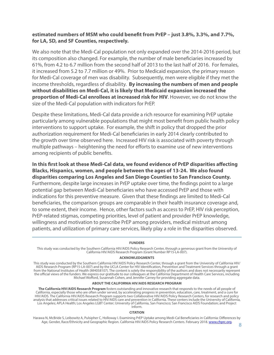### **estimated numbers of MSM who could benefit from PrEP – just 3.8%, 3.3%, and 7.7%, for LA, SD, and SF Counties, respectively.**

We also note that the Medi-Cal population not only expanded over the 2014-2016 period, but its composition also changed. For example, the number of male beneficiaries increased by 61%, from 4.2 to 6.7 million from the second half of 2013 to the last half of 2016. For females, it increased from 5.2 to 7.7 million or 49%. Prior to Medicaid expansion, the primary reason for Medi-Cal coverage of men was disability. Subsequently, men were eligible if they met the income thresholds, regardless of disability. **By increasing the numbers of men and people without disabilities on Medi-Cal, it is likely that Medicaid expansion increased the proportion of Medi-Cal enrollees at increased risk for HIV**. However, we do not know the size of the Medi-Cal population with indicators for PrEP.

Despite these limitations, Medi-Cal data provide a rich resource for examining PrEP uptake particularly among vulnerable populations that might most benefit from public health policy interventions to support uptake. For example, the shift in policy that dropped the prior authorization requirement for Medi-Cal beneficiaries in early 2014 clearly contributed to the growth over time observed here. Increased HIV risk is associated with poverty through multiple pathways – heightening the need for efforts to examine use of new interventions among recipients of public benefits.

**In this first look at these Medi-Cal data, we found evidence of PrEP disparities affecting Blacks, Hispanics, women, and people between the ages of 13-24. We also found disparities comparing Los Angeles and San Diego Counties to San Francisco County.** Furthermore, despite large increases in PrEP uptake over time, the findings point to a large potential gap between Medi-Cal beneficiaries who have accessed PrEP and those with indications for this preventive measure. Given that these findings are limited to Medi-Cal beneficiaries, the comparison groups are comparable in their health insurance coverage and, to some extent, their income. Hence, other factors such as access to PrEP, HIV risk perception, PrEP-related stigmas, competing priorities, level of patient and provider PrEP knowledge, willingness and motivation to prescribe PrEP among providers, medical mistrust among patients, and utilization of primary care services, likely play a role in the disparities observed.

### **FUNDERS**

This study was conducted by the Southern California HIV/AIDS Policy Research Center, through a generous grant from the University of California HIV/AIDS Research Program (Grant Number RP15-LA-007).

### **ACKNOWLEDGMENTS**

This study was conducted by the Southern California HIV/AIDS Policy Research Center, through a grant from the University of California HIV/ AIDS Research Program (RP15-LA-007) and by the UCLA Center for HIV Identification, Prevention and Treatment Services through a grant from the National Institutes of Health (MH058107). The content is solely the responsibility of the authors and does not necessarily represent the official views of the funders. We express our gratitude to our colleagues at the California Department of Health Care Services, including Michael Wofford, Susannah Cohen, and Jennifer Carney for providing aggregate data.

### **ABOUT THE CALIFORNIA HIV/AIDS RESEARCH PROGRAM**

**The California HIV/AIDS Research Program** fosters outstanding and innovative research that responds to the needs of all people of California, especially those who are often under served, by accelerating progress in prevention, education, care, treatment, and a cure for HIV/AIDS. The California HIV/AIDS Research Program supports two Collaborative HIV/AIDS Policy Research Centers, for research and policy analysis that addresses critical issues related to HIV/AIDS care and prevention in California. These centers include the University of California, Los Angeles; APLA Health; Los Angeles LGBT Center; University of California, San Francisco; San Francisco AIDS Foundation; and Project Inform.

### **CITATION**

Harawa N, McBride S, Leibowitz A, Pulsipher C, Holloway I. Examining PrEP Uptake among Medi-Cal Beneficiaries in California: Differences by Age, Gender, Race/Ethnicity and Geographic Region. California HIV/AIDS Policy Research Centers. February 2018. [www.chprc.org.](http://www.chprc.org)